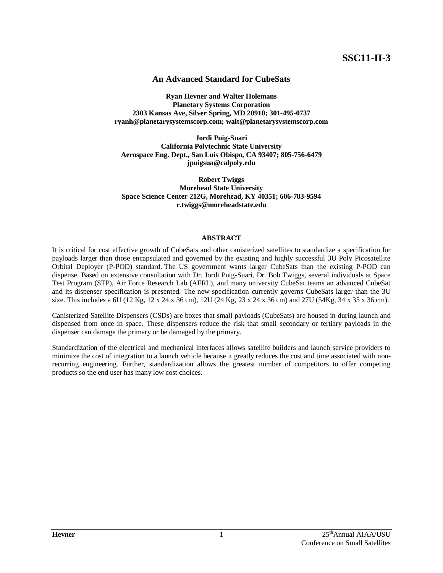# **An Advanced Standard for CubeSats**

**Ryan Hevner and Walter Holemans Planetary Systems Corporation 2303 Kansas Ave, Silver Spring, MD 20910; 301-495-0737 ryanh@planetarysystemscorp.com; walt@planetarysystemscorp.com**

**Jordi Puig-Suari California Polytechnic State University Aerospace Eng. Dept., San Luis Obispo, CA 93407; 805-756-6479 jpuigsua@calpoly.edu**

**Robert Twiggs Morehead State University Space Science Center 212G, Morehead, KY 40351; 606-783-9594 r.twiggs@moreheadstate.edu**

# **ABSTRACT**

It is critical for cost effective growth of CubeSats and other canisterized satellites to standardize a specification for payloads larger than those encapsulated and governed by the existing and highly successful 3U Poly Picosatellite Orbital Deployer (P-POD) standard. The US government wants larger CubeSats than the existing P-POD can dispense. Based on extensive consultation with Dr. Jordi Puig-Suari, Dr. Bob Twiggs, several individuals at Space Test Program (STP), Air Force Research Lab (AFRL), and many university CubeSat teams an advanced CubeSat and its dispenser specification is presented. The new specification currently governs CubeSats larger than the 3U size. This includes a 6U (12 Kg, 12 x 24 x 36 cm), 12U (24 Kg, 23 x 24 x 36 cm) and 27U (54Kg, 34 x 35 x 36 cm).

Canisterized Satellite Dispensers (CSDs) are boxes that small payloads (CubeSats) are housed in during launch and dispensed from once in space. These dispensers reduce the risk that small secondary or tertiary payloads in the dispenser can damage the primary or be damaged by the primary.

Standardization of the electrical and mechanical interfaces allows satellite builders and launch service providers to minimize the cost of integration to a launch vehicle because it greatly reduces the cost and time associated with nonrecurring engineering. Further, standardization allows the greatest number of competitors to offer competing products so the end user has many low cost choices.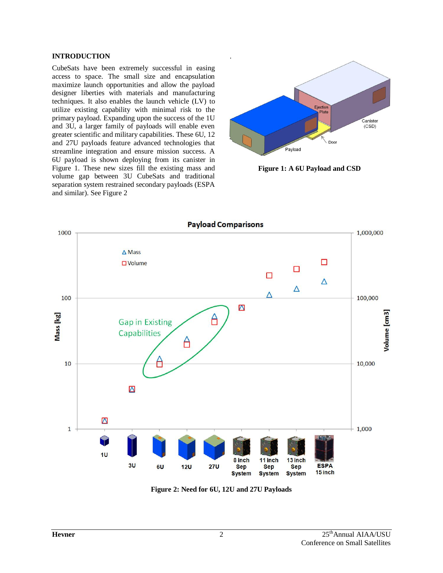# **INTRODUCTION**

CubeSats have been extremely successful in easing access to space. The small size and encapsulation maximize launch opportunities and allow the payload designer liberties with materials and manufacturing techniques. It also enables the launch vehicle (LV) to utilize existing capability with minimal risk to the primary payload. Expanding upon the success of the 1U and 3U, a larger family of payloads will enable even greater scientific and military capabilities. These 6U, 12 and 27U payloads feature advanced technologies that streamline integration and ensure mission success. A 6U payload is shown deploying from its canister in [Figure 1.](#page-1-0) These new sizes fill the existing mass and volume gap between 3U CubeSats and traditional separation system restrained secondary payloads (ESPA and similar). See [Figure 2](#page-1-1)



<span id="page-1-0"></span>**Figure 1: A 6U Payload and CSD**



<span id="page-1-1"></span>**Figure 2: Need for 6U, 12U and 27U Payloads**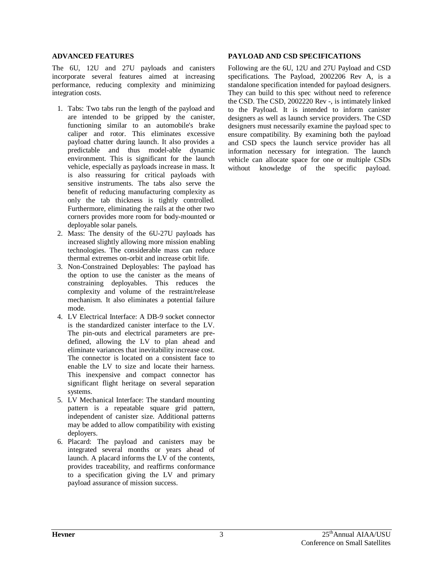## **ADVANCED FEATURES**

The 6U, 12U and 27U payloads and canisters incorporate several features aimed at increasing performance, reducing complexity and minimizing integration costs.

- 1. Tabs: Two tabs run the length of the payload and are intended to be gripped by the canister, functioning similar to an automobile's brake caliper and rotor. This eliminates excessive payload chatter during launch. It also provides a predictable and thus model-able dynamic environment. This is significant for the launch vehicle, especially as payloads increase in mass. It is also reassuring for critical payloads with sensitive instruments. The tabs also serve the benefit of reducing manufacturing complexity as only the tab thickness is tightly controlled. Furthermore, eliminating the rails at the other two corners provides more room for body-mounted or deployable solar panels.
- 2. Mass: The density of the 6U-27U payloads has increased slightly allowing more mission enabling technologies. The considerable mass can reduce thermal extremes on-orbit and increase orbit life.
- 3. Non-Constrained Deployables: The payload has the option to use the canister as the means of constraining deployables. This reduces the complexity and volume of the restraint/release mechanism. It also eliminates a potential failure mode.
- 4. LV Electrical Interface: A DB-9 socket connector is the standardized canister interface to the LV. The pin-outs and electrical parameters are predefined, allowing the LV to plan ahead and eliminate variances that inevitability increase cost. The connector is located on a consistent face to enable the LV to size and locate their harness. This inexpensive and compact connector has significant flight heritage on several separation systems.
- 5. LV Mechanical Interface: The standard mounting pattern is a repeatable square grid pattern, independent of canister size. Additional patterns may be added to allow compatibility with existing deployers.
- 6. Placard: The payload and canisters may be integrated several months or years ahead of launch. A placard informs the LV of the contents, provides traceability, and reaffirms conformance to a specification giving the LV and primary payload assurance of mission success.

# **PAYLOAD AND CSD SPECIFICATIONS**

Following are the 6U, 12U and 27U Payload and CSD specifications. The Payload, 2002206 Rev A, is a standalone specification intended for payload designers. They can build to this spec without need to reference the CSD. The CSD, 2002220 Rev -, is intimately linked to the Payload. It is intended to inform canister designers as well as launch service providers. The CSD designers must necessarily examine the payload spec to ensure compatibility. By examining both the payload and CSD specs the launch service provider has all information necessary for integration. The launch vehicle can allocate space for one or multiple CSDs without knowledge of the specific payload.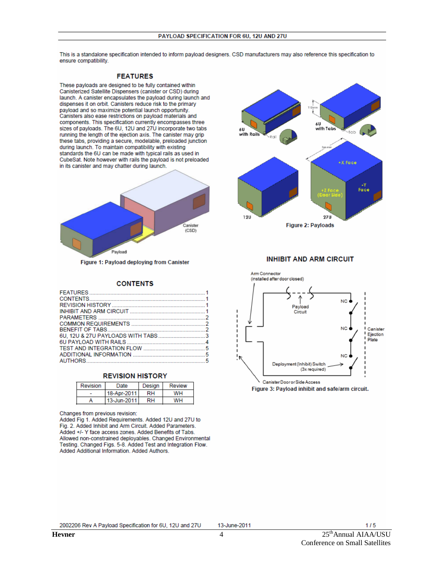This is a standalone specification intended to inform payload designers. CSD manufacturers may also reference this specification to ensure compatibility.

#### **FEATURES**

These payloads are designed to be fully contained within Canisterized Satellite Dispensers (canister or CSD) during launch. A canister encapsulates the payload during launch and dispenses it on orbit. Canisters reduce risk to the primary payload and so maximize potential launch opportunity. Canisters also ease restrictions on payload materials and components. This specification currently encompasses three sizes of payloads. The 6U, 12U and 27U incorporate two tabs running the length of the ejection axis. The canister may grip these tabs, providing a secure, modelable, preloaded junction during launch. To maintain compatibility with existing standards the 6U can be made with typical rails as used in CubeSat. Note however with rails the payload is not preloaded in its canister and may chatter during launch.



Figure 1: Payload deploying from Canister

#### **CONTENTS**

| COMMON REQUIREMENTS 2    |  |
|--------------------------|--|
|                          |  |
|                          |  |
|                          |  |
|                          |  |
| ADDITIONAL INFORMATION 5 |  |
| AUTHORS 5                |  |



| Revision    | Date        | Design | Review |  |  |  |
|-------------|-------------|--------|--------|--|--|--|
| 18-Apr-2011 |             | RН     | wн     |  |  |  |
|             | 13-Jun-2011 |        | wн     |  |  |  |

Changes from previous revision:

Added Fig 1. Added Requirements. Added 12U and 27U to Fig. 2. Added Inhibit and Arm Circuit. Added Parameters. Added +/- Y face access zones. Added Benefits of Tabs. Allowed non-constrained deployables. Changed Environmental Testing. Changed Figs. 5-8. Added Test and Integration Flow. Added Additional Information. Added Authors.



### **INHIBIT AND ARM CIRCUIT**



Figure 3: Payload inhibit and safe/arm circuit.

 $\overline{4}$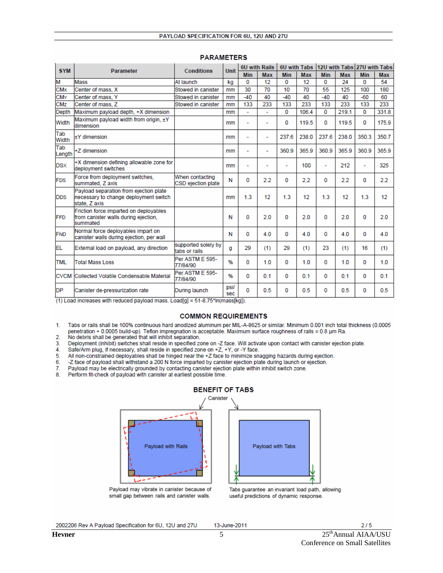| <b>SYM</b>            | <b>Parameter</b>                                                                                 | <b>Conditions</b>                     | <b>Unit</b> | 6U with Rails  |            | 6U with Tabs |            |            |            | 12U with Tabs 27U with Tabs |       |
|-----------------------|--------------------------------------------------------------------------------------------------|---------------------------------------|-------------|----------------|------------|--------------|------------|------------|------------|-----------------------------|-------|
|                       |                                                                                                  |                                       |             | <b>Min</b>     | <b>Max</b> | <b>Min</b>   | <b>Max</b> | <b>Min</b> | <b>Max</b> | Min                         | Max   |
| M                     | Mass                                                                                             | At launch                             | kg          | 0              | 12         | 0            | 12         | o          | 24         | 0                           | 54    |
| <b>CM<sub>x</sub></b> | Center of mass, X                                                                                | Stowed in canister                    | mm          | 30             | 70         | 10           | 70         | 55         | 125        | 100                         | 180   |
| <b>CMY</b>            | Center of mass, Y                                                                                | Stowed in canister                    | mm          | $-40$          | 40         | $-40$        | 40         | $-40$      | 40         | $-60$                       | 60    |
| <b>CM<sub>Z</sub></b> | Center of mass, Z                                                                                | Stowed in canister                    | mm          | 133            | 233        | 133          | 233        | 133        | 233        | 133                         | 233   |
| Depth                 | Maximum payload depth, +X dimension                                                              |                                       | mm          | ÷              |            | 0            | 106.4      | 0          | 219.1      | $\Omega$                    | 331.8 |
| Width                 | Maximum payload width from origin, ±Y<br>dimension                                               |                                       | mm          | ÷              |            | O            | 119.5      | 0          | 119.5      | $\bf{0}$                    | 175.9 |
| Tab<br>Width          | +Y dimension                                                                                     |                                       | mm          | $\overline{a}$ | ٠          | 237.6        | 238.0      | 237.6      | 238.0      | 350.3                       | 350.7 |
| Tab<br>Length         | +Z dimension                                                                                     |                                       | mm          |                |            | 360.9        | 365.9      | 360.9      | 365.9      | 360.9                       | 365.9 |
| <b>DSX</b>            | +X dimension defining allowable zone for<br>deployment switches                                  |                                       | mm          | $\overline{a}$ |            |              | 100        | ٠          | 212        | ٠                           | 325   |
| <b>FDS</b>            | Force from deployment switches.<br>summated, Z axis                                              | When contacting<br>CSD ejection plate | N           | 0              | 2.2        | 0            | 2.2        | 0          | 2.2        | 0                           | 2.2   |
| <b>DDS</b>            | Payload separation from ejection plate<br>necessary to change deployment switch<br>state, Z axis |                                       | mm          | 1.3            | 12         | 1.3          | 12         | 1.3        | 12         | 1.3                         | 12    |
| FFD                   | Friction force imparted on deployables<br>from canister walls during ejection.<br>summated       |                                       | Ν           | 0              | 2.0        | 0            | 2.0        | 0          | 2.0        | 0                           | 2.0   |
| <b>FND</b>            | Normal force deployables impart on<br>canister walls during ejection, per wall                   |                                       | N           | 0              | 4.0        | 0            | 4.0        | 0          | 4.0        | $\Omega$                    | 4.0   |
| EL                    | External load on payload, any direction                                                          | supported solely by<br>tabs or rails  | a           | 29             | (1)        | 29           | (1)        | 23         | (1)        | 16                          | (1)   |
| <b>TML</b>            | <b>Total Mass Loss</b>                                                                           | Per ASTM E 595-<br>77/84/90           | %           | 0              | 1.0        | 0            | 1.0        | 0          | 1.0        | $\bf{0}$                    | 1.0   |
| <b>CVCM</b>           | Collected Volatile Condensable Material                                                          | Per ASTM E 595-<br>77/84/90           | %           | 0              | 0.1        | 0            | 0.1        | 0          | 0.1        | 0                           | 0.1   |
| <b>DP</b>             | Canister de-pressurization rate                                                                  | During launch                         | psi/<br>sec | 0              | 0.5        | 0            | 0.5        | 0          | 0.5        | $\Omega$                    | 0.5   |

#### **PARAMETERS**

 $(1)$  Load increases with reduced payload mass. Load[g] = 51-8.75\*ln(mass[kg]).

## **COMMON REQUIREMENTS**

 $1.$ Tabs or rails shall be 100% continuous hard anodized aluminum per MIL-A-8625 or similar. Minimum 0.001 inch total thickness (0.0005 penetration + 0.0005 build-up). Teflon impregnation is acceptable. Maximum surface roughness of rails = 0.8 um Ra.

- $\overline{2}$ No debris shall be generated that will inhibit separation.
- 3. Deployment (inhibit) switches shall reside in specified zone on -Z face. Will activate upon contact with canister ejection plate.
- 4. Safe/Arm plug, if necessary, shall reside in specified zone on +Z, +Y, or -Y face.
- All non-constrained deployables shall be hinged near the +Z face to minimize snagging hazards during ejection. 5.
- 6. -Z face of payload shall withstand a 200 N force imparted by canister ejection plate during launch or ejection.
- 7. Payload may be electrically grounded by contacting canister ejection plate within inhibit switch zone.
- 8. Perform fit-check of payload with canister at earliest possible time.



Payload may vibrate in canister because of

small gap between rails and canister walls.

# **BENEFIT OF TABS**



Payload with Tabs

2002206 Rev A Payload Specification for 6U, 12U and 27U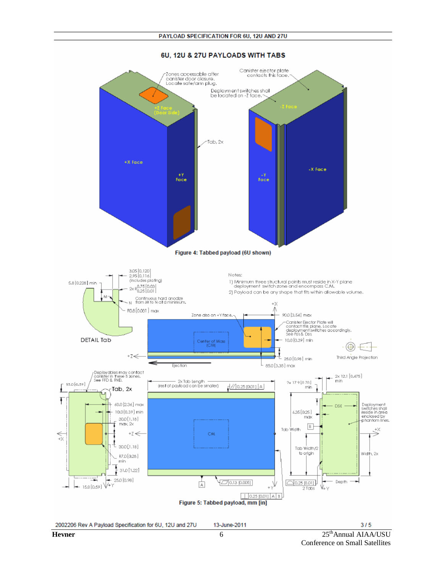

#### 6U. 12U & 27U PAYLOADS WITH TABS

2002206 Rev A Payload Specification for 6U, 12U and 27U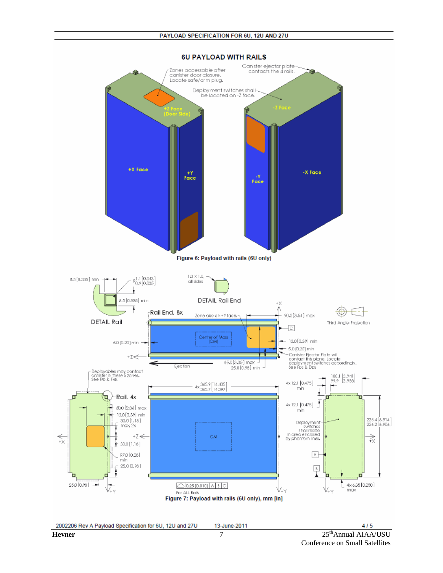

**6U PAYLOAD WITH RAILS**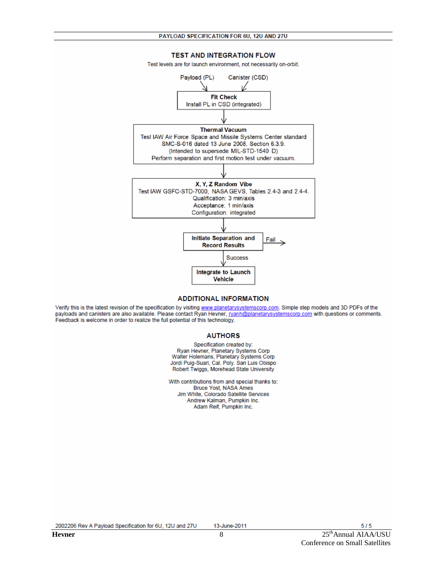**TEST AND INTEGRATION FLOW** 



#### **ADDITIONAL INFORMATION**

Verify this is the latest revision of the specification by visiting www.planetarysystemscorp.com. Simple step models and 3D PDFs of the payloads and canisters are also available. Please contact Ryan Hevner, ryanh@planetary Feedback is welcome in order to realize the full potential of this technology.

#### **AUTHORS**

Specification created by: Ryan Hevner, Planetary Systems Corp Walter Holemans, Planetary Systems Corp Jordi Puig-Suari, Cal. Poly. San Luis Obispo Robert Twiggs, Morehead State University

With contributions from and special thanks to: Bruce Yost, NASA Ames Jim White, Colorado Satellite Services Andrew Kalman, Pumpkin Inc. Adam Reif, Pumpkin Inc.

2002206 Rev A Payload Specification for 6U, 12U and 27U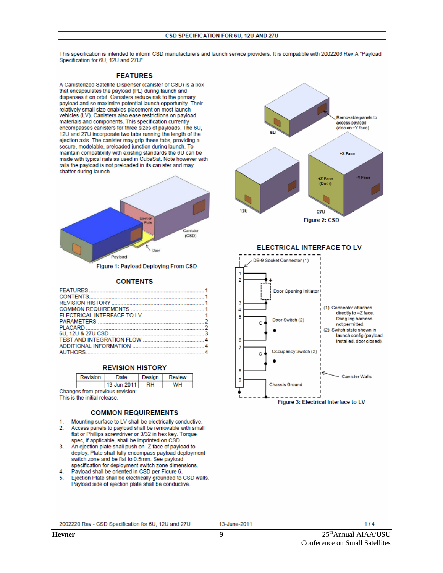This specification is intended to inform CSD manufacturers and launch service providers. It is compatible with 2002206 Rev A "Pavload Specification for 6U, 12U and 27U".

## **FEATURES**

A Canisterized Satellite Dispenser (canister or CSD) is a box that encapsulates the payload (PL) during launch and dispenses it on orbit. Canisters reduce risk to the primary payload and so maximize potential launch opportunity. Their relatively small size enables placement on most launch vehicles (LV). Canisters also ease restrictions on payload materials and components. This specification currently encompasses canisters for three sizes of payloads. The 6U, 12U and 27U incorporate two tabs running the length of the ejection axis. The canister may grip these tabs, providing a secure, modelable, preloaded junction during launch. To maintain compatibility with existing standards the 6U can be made with typical rails as used in CubeSat. Note however with rails the payload is not preloaded in its canister and may chatter during launch.



#### **CONTENTS**

### **REVISION HISTORY**

|                                 | Revision | Date        | Desian    | <b>Review</b> |  |  |  |  |  |
|---------------------------------|----------|-------------|-----------|---------------|--|--|--|--|--|
|                                 |          | 13-Jun-2011 | <b>RH</b> | WH            |  |  |  |  |  |
| Changes from previous revision: |          |             |           |               |  |  |  |  |  |

This is the initial release.

### **COMMON REQUIREMENTS**

- 1. Mounting surface to LV shall be electrically conductive.
- $2.$ Access panels to payload shall be removable with small flat or Phillips screwdriver or 3/32 in hex key. Torque spec, if applicable, shall be imprinted on CSD.
- 3. An ejection plate shall push on -Z face of payload to deploy. Plate shall fully encompass payload deployment switch zone and be flat to 0.5mm. See payload specification for deployment switch zone dimensions.
- Payload shall be oriented in CSD per Figure 6. 4.
- Ejection Plate shall be electrically grounded to CSD walls. 5. Payload side of ejection plate shall be conductive.



2002220 Rev - CSD Specification for 6U, 12U and 27U

 $1/4$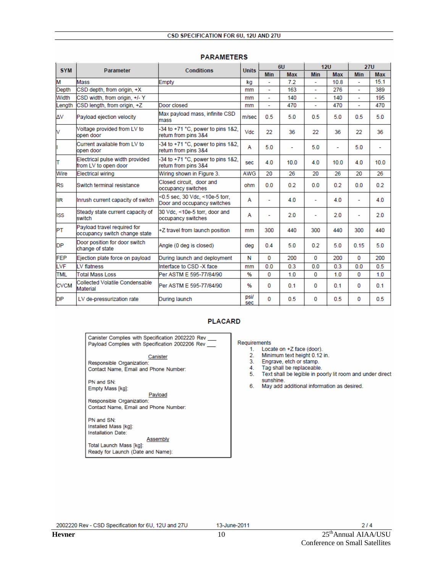| <b>SYM</b>  | <b>Parameter</b>                                             | <b>Conditions</b>                                             | <b>Units</b> | 6U             |            | 12U                      |            | <b>27U</b> |            |
|-------------|--------------------------------------------------------------|---------------------------------------------------------------|--------------|----------------|------------|--------------------------|------------|------------|------------|
|             |                                                              |                                                               |              | <b>Min</b>     | <b>Max</b> | <b>Min</b>               | <b>Max</b> | Min        | <b>Max</b> |
| М           | Mass                                                         | Empty                                                         | kg           |                | 72         |                          | 10.8       |            | 15.1       |
| Depth       | CSD depth, from origin, +X                                   |                                                               | mm           | $\blacksquare$ | 163        | ٠                        | 276        | ٠          | 389        |
| Width       | CSD width, from origin, +/- Y                                |                                                               | mm           | ÷.             | 140        | ٠                        | 140        | ÷,         | 195        |
| Length      | CSD length, from origin, +Z                                  | Door closed                                                   | mm           |                | 470        |                          | 470        |            | 470        |
| ΔV          | Payload ejection velocity                                    | Max payload mass, infinite CSD<br>mass                        | m/sec        | 0.5            | 5.0        | 0.5                      | 5.0        | 0.5        | 5.0        |
| V           | Voltage provided from LV to<br>open door                     | -34 to +71 °C, power to pins 1&2,<br>return from pins 3&4     | Vdc          | 22             | 36         | 22                       | 36         | 22         | 36         |
|             | Current available from LV to<br>open door                    | -34 to +71 °C, power to pins 1&2,<br>return from pins 3&4     | A            | 5.0            | ۰          | 5.0                      | ٠          | 5.0        | ٠          |
| T           | Electrical pulse width provided<br>from LV to open door      | -34 to +71 °C, power to pins 1&2,<br>return from pins 3&4     | sec          | 4.0            | 10.0       | 4.0                      | 10.0       | 4.0        | 10.0       |
| Wire        | <b>Electrical wiring</b>                                     | Wiring shown in Figure 3.                                     | <b>AWG</b>   | 20             | 26         | 20                       | 26         | 20         | 26         |
| <b>RS</b>   | Switch terminal resistance                                   | Closed circuit. door and<br>occupancy switches                | ohm          | 0.0            | 0.2        | 0.0                      | 0.2        | 0.0        | 0.2        |
| lır         | Inrush current capacity of switch                            | <0.5 sec. 30 Vdc. <10e-5 torr.<br>Door and occupancy switches | А            | ۰              | 4.0        | $\overline{\phantom{a}}$ | 4.0        | ٠          | 4.0        |
| <b>ISS</b>  | Steady state current capacity of<br>switch                   | 30 Vdc. <10e-5 torr, door and<br>occupancy switches           | А            | ٠              | 2.0        | $\overline{\phantom{a}}$ | 2.0        |            | 2.0        |
| PT          | Payload travel required for<br>occupancy switch change state | +Z travel from launch position                                | mm           | 300            | 440        | 300                      | 440        | 300        | 440        |
| <b>DP</b>   | Door position for door switch<br>change of state             | Angle (0 deg is closed)                                       | dea          | 0.4            | 5.0        | 0.2                      | 5.0        | 0.15       | 5.0        |
| <b>FEP</b>  | Eiection plate force on payload                              | During launch and deployment                                  | N            | 0              | 200        | 0                        | 200        | $\Omega$   | 200        |
| LVF         | LV flatness                                                  | Interface to CSD -X face                                      | mm           | 0.0            | 0.3        | 0.0                      | 0.3        | 0.0        | 0.5        |
| <b>TML</b>  | <b>Total Mass Loss</b>                                       | Per ASTM E 595-77/84/90                                       | %            | 0              | 1.0        | $\mathbf{0}$             | 1.0        | $\Omega$   | 1.0        |
| <b>CVCM</b> | Collected Volatile Condensable<br>Material                   | Per ASTM E 595-77/84/90                                       | %            | 0              | 0.1        | 0                        | 0.1        | $\Omega$   | 0.1        |
| <b>DP</b>   | LV de-pressurization rate                                    | During launch                                                 | psi/<br>sec  | 0              | 0.5        | 0                        | 0.5        | $\Omega$   | 0.5        |

#### **PARAMETERS**

# **PLACARD**

Canister Complies with Specification 2002220 Rev Payload Complies with Specification 2002206 Rev

Canister

Responsible Organization: Contact Name, Email and Phone Number:

PN and SN: Empty Mass [kg]:

Payload Responsible Organization: Contact Name, Email and Phone Number:

PN and SN: Installed Mass [kg]: Installation Date:

Assembly Total Launch Mass [kg]:

Ready for Launch (Date and Name):

Requirements

- 1. Locate on +Z face (door).
- 2. Minimum text height 0.12 in.
- $3.$ Engrave, etch or stamp.
- $4.$ Tag shall be replaceable. 5. Text shall be legible in poorly lit room and under direct
- sunshine.
- 6. May add additional information as desired.

2002220 Rev - CSD Specification for 6U, 12U and 27U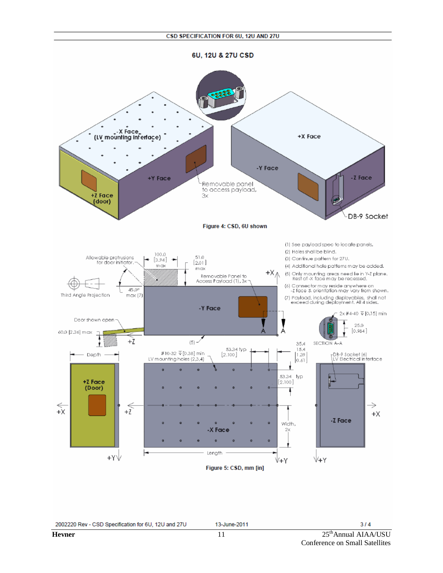6U, 12U & 27U CSD